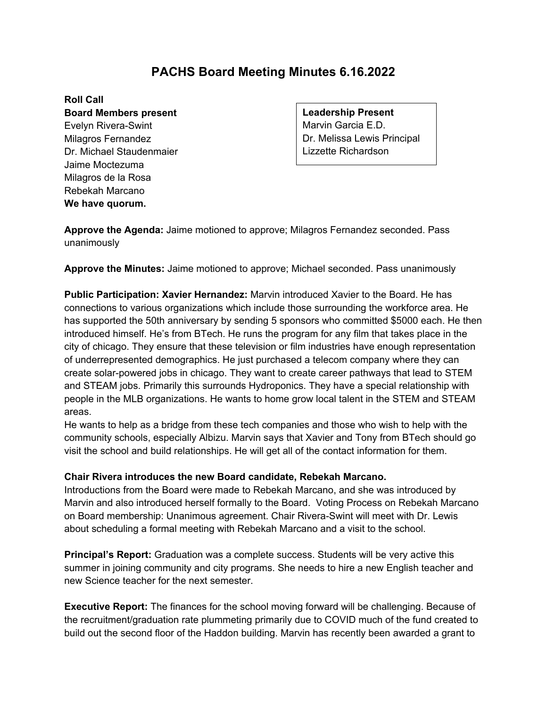# **PACHS Board Meeting Minutes 6.16.2022**

### **Roll Call**

**Board Members present**  Evelyn Rivera-Swint Milagros Fernandez Dr. Michael Staudenmaier Jaime Moctezuma Milagros de la Rosa Rebekah Marcano **We have quorum.**

**Leadership Present** Marvin Garcia E.D. Dr. Melissa Lewis Principal Lizzette Richardson

**Approve the Agenda:** Jaime motioned to approve; Milagros Fernandez seconded. Pass unanimously

**Approve the Minutes:** Jaime motioned to approve; Michael seconded. Pass unanimously

**Public Participation: Xavier Hernandez:** Marvin introduced Xavier to the Board. He has connections to various organizations which include those surrounding the workforce area. He has supported the 50th anniversary by sending 5 sponsors who committed \$5000 each. He then introduced himself. He's from BTech. He runs the program for any film that takes place in the city of chicago. They ensure that these television or film industries have enough representation of underrepresented demographics. He just purchased a telecom company where they can create solar-powered jobs in chicago. They want to create career pathways that lead to STEM and STEAM jobs. Primarily this surrounds Hydroponics. They have a special relationship with people in the MLB organizations. He wants to home grow local talent in the STEM and STEAM areas.

He wants to help as a bridge from these tech companies and those who wish to help with the community schools, especially Albizu. Marvin says that Xavier and Tony from BTech should go visit the school and build relationships. He will get all of the contact information for them.

## **Chair Rivera introduces the new Board candidate, Rebekah Marcano.**

Introductions from the Board were made to Rebekah Marcano, and she was introduced by Marvin and also introduced herself formally to the Board. Voting Process on Rebekah Marcano on Board membership: Unanimous agreement. Chair Rivera-Swint will meet with Dr. Lewis about scheduling a formal meeting with Rebekah Marcano and a visit to the school.

**Principal's Report:** Graduation was a complete success. Students will be very active this summer in joining community and city programs. She needs to hire a new English teacher and new Science teacher for the next semester.

**Executive Report:** The finances for the school moving forward will be challenging. Because of the recruitment/graduation rate plummeting primarily due to COVID much of the fund created to build out the second floor of the Haddon building. Marvin has recently been awarded a grant to